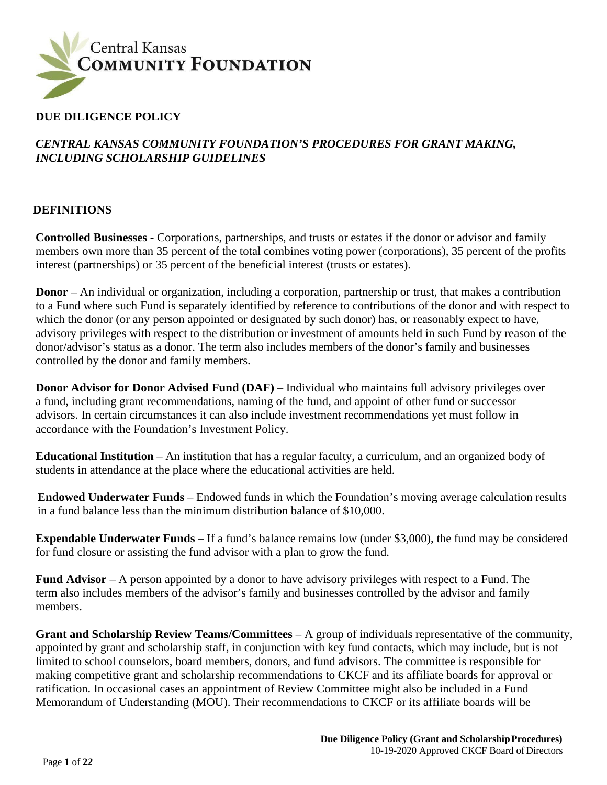

## **DUE DILIGENCE POLICY**

### *CENTRAL KANSAS COMMUNITY FOUNDATION'S PROCEDURES FOR GRANT MAKING, INCLUDING SCHOLARSHIP GUIDELINES*

#### **DEFINITIONS**

**Controlled Businesses** - Corporations, partnerships, and trusts or estates if the donor or advisor and family members own more than 35 percent of the total combines voting power (corporations), 35 percent of the profits interest (partnerships) or 35 percent of the beneficial interest (trusts or estates).

**Donor** – An individual or organization, including a corporation, partnership or trust, that makes a contribution to a Fund where such Fund is separately identified by reference to contributions of the donor and with respect to which the donor (or any person appointed or designated by such donor) has, or reasonably expect to have, advisory privileges with respect to the distribution or investment of amounts held in such Fund by reason of the donor/advisor's status as a donor. The term also includes members of the donor's family and businesses controlled by the donor and family members.

**Donor Advisor for Donor Advised Fund (DAF)** – Individual who maintains full advisory privileges over a fund, including grant recommendations, naming of the fund, and appoint of other fund or successor advisors. In certain circumstances it can also include investment recommendations yet must follow in accordance with the Foundation's Investment Policy.

**Educational Institution** – An institution that has a regular faculty, a curriculum, and an organized body of students in attendance at the place where the educational activities are held.

**Endowed Underwater Funds** – Endowed funds in which the Foundation's moving average calculation results in a fund balance less than the minimum distribution balance of \$10,000.

**Expendable Underwater Funds** – If a fund's balance remains low (under \$3,000), the fund may be considered for fund closure or assisting the fund advisor with a plan to grow the fund.

**Fund Advisor** – A person appointed by a donor to have advisory privileges with respect to a Fund. The term also includes members of the advisor's family and businesses controlled by the advisor and family members.

**Grant and Scholarship Review Teams/Committees** – A group of individuals representative of the community, appointed by grant and scholarship staff, in conjunction with key fund contacts, which may include, but is not limited to school counselors, board members, donors, and fund advisors. The committee is responsible for making competitive grant and scholarship recommendations to CKCF and its affiliate boards for approval or ratification. In occasional cases an appointment of Review Committee might also be included in a Fund Memorandum of Understanding (MOU). Their recommendations to CKCF or its affiliate boards will be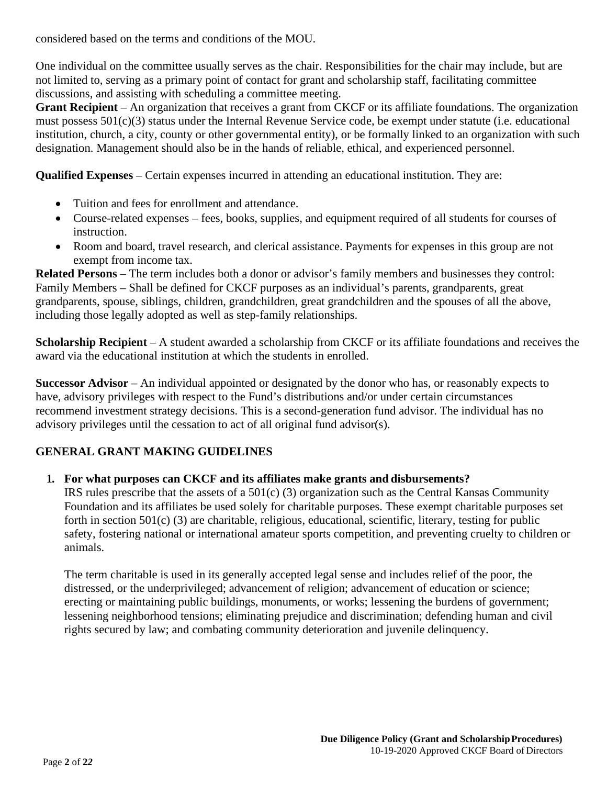considered based on the terms and conditions of the MOU.

One individual on the committee usually serves as the chair. Responsibilities for the chair may include, but are not limited to, serving as a primary point of contact for grant and scholarship staff, facilitating committee discussions, and assisting with scheduling a committee meeting.

**Grant Recipient** – An organization that receives a grant from CKCF or its affiliate foundations. The organization must possess 501(c)(3) status under the Internal Revenue Service code, be exempt under statute (i.e. educational institution, church, a city, county or other governmental entity), or be formally linked to an organization with such designation. Management should also be in the hands of reliable, ethical, and experienced personnel.

**Qualified Expenses** – Certain expenses incurred in attending an educational institution. They are:

- Tuition and fees for enrollment and attendance.
- Course-related expenses fees, books, supplies, and equipment required of all students for courses of instruction.
- Room and board, travel research, and clerical assistance. Payments for expenses in this group are not exempt from income tax.

**Related Persons** – The term includes both a donor or advisor's family members and businesses they control: Family Members – Shall be defined for CKCF purposes as an individual's parents, grandparents, great grandparents, spouse, siblings, children, grandchildren, great grandchildren and the spouses of all the above, including those legally adopted as well as step-family relationships.

**Scholarship Recipient** – A student awarded a scholarship from CKCF or its affiliate foundations and receives the award via the educational institution at which the students in enrolled.

**Successor Advisor** – An individual appointed or designated by the donor who has, or reasonably expects to have, advisory privileges with respect to the Fund's distributions and/or under certain circumstances recommend investment strategy decisions. This is a second-generation fund advisor. The individual has no advisory privileges until the cessation to act of all original fund advisor(s).

## **GENERAL GRANT MAKING GUIDELINES**

#### **1. For what purposes can CKCF and its affiliates make grants and disbursements?**

IRS rules prescribe that the assets of a 501(c) (3) organization such as the Central Kansas Community Foundation and its affiliates be used solely for charitable purposes. These exempt charitable purposes set forth in section 501(c) (3) are charitable, religious, educational, scientific, literary, testing for public safety, fostering national or international amateur sports competition, and preventing cruelty to children or animals.

The term charitable is used in its generally accepted legal sense and includes relief of the poor, the distressed, or the underprivileged; advancement of religion; advancement of education or science; erecting or maintaining public buildings, monuments, or works; lessening the burdens of government; lessening neighborhood tensions; eliminating prejudice and discrimination; defending human and civil rights secured by law; and combating community deterioration and juvenile delinquency.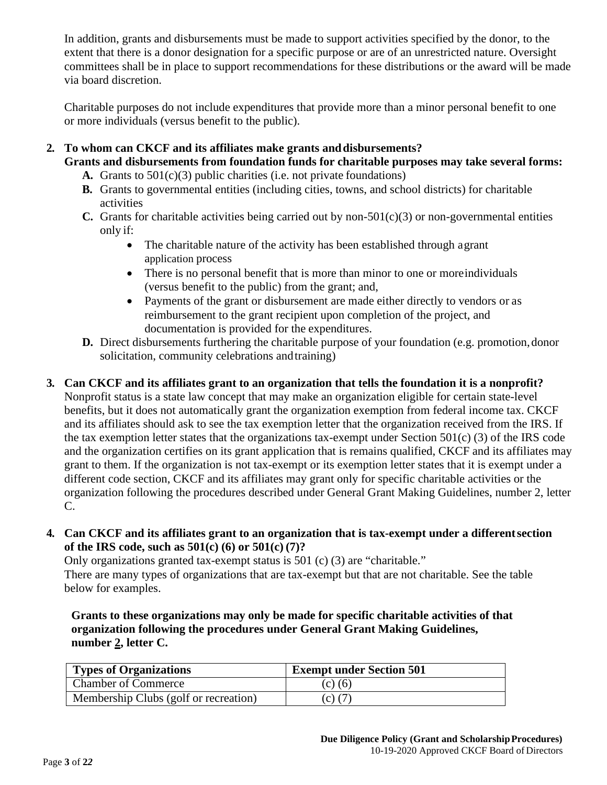In addition, grants and disbursements must be made to support activities specified by the donor, to the extent that there is a donor designation for a specific purpose or are of an unrestricted nature. Oversight committees shall be in place to support recommendations for these distributions or the award will be made via board discretion.

Charitable purposes do not include expenditures that provide more than a minor personal benefit to one or more individuals (versus benefit to the public).

# **2. To whom can CKCF and its affiliates make grants anddisbursements?**

- **Grants and disbursements from foundation funds for charitable purposes may take several forms: A.** Grants to 501(c)(3) public charities (i.e. not private foundations)
	- **B.** Grants to governmental entities (including cities, towns, and school districts) for charitable activities
	- **C.** Grants for charitable activities being carried out by non-501 $(c)(3)$  or non-governmental entities only if:
		- The charitable nature of the activity has been established through agrant application process
		- There is no personal benefit that is more than minor to one or more individuals (versus benefit to the public) from the grant; and,
		- Payments of the grant or disbursement are made either directly to vendors or as reimbursement to the grant recipient upon completion of the project, and documentation is provided for the expenditures.
	- **D.** Direct disbursements furthering the charitable purpose of your foundation (e.g. promotion, donor solicitation, community celebrations andtraining)

## **3. Can CKCF and its affiliates grant to an organization that tells the foundation it is a nonprofit?**

Nonprofit status is a state law concept that may make an organization eligible for certain state-level benefits, but it does not automatically grant the organization exemption from federal income tax. CKCF and its affiliates should ask to see the tax exemption letter that the organization received from the IRS. If the tax exemption letter states that the organizations tax-exempt under Section  $501(c)$  (3) of the IRS code and the organization certifies on its grant application that is remains qualified, CKCF and its affiliates may grant to them. If the organization is not tax-exempt or its exemption letter states that it is exempt under a different code section, CKCF and its affiliates may grant only for specific charitable activities or the organization following the procedures described under General Grant Making Guidelines, number 2, letter C.

**4. Can CKCF and its affiliates grant to an organization that is tax-exempt under a differentsection of the IRS code, such as 501(c) (6) or 501(c) (7)?**

Only organizations granted tax-exempt status is 501 (c) (3) are "charitable." There are many types of organizations that are tax-exempt but that are not charitable. See the table below for examples.

**Grants to these organizations may only be made for specific charitable activities of that organization following the procedures under General Grant Making Guidelines, number 2, letter C.**

| <b>Types of Organizations</b>         | <b>Exempt under Section 501</b> |
|---------------------------------------|---------------------------------|
| <b>Chamber of Commerce</b>            | $(c)$ (6)                       |
| Membership Clubs (golf or recreation) | $(c)$ (7)                       |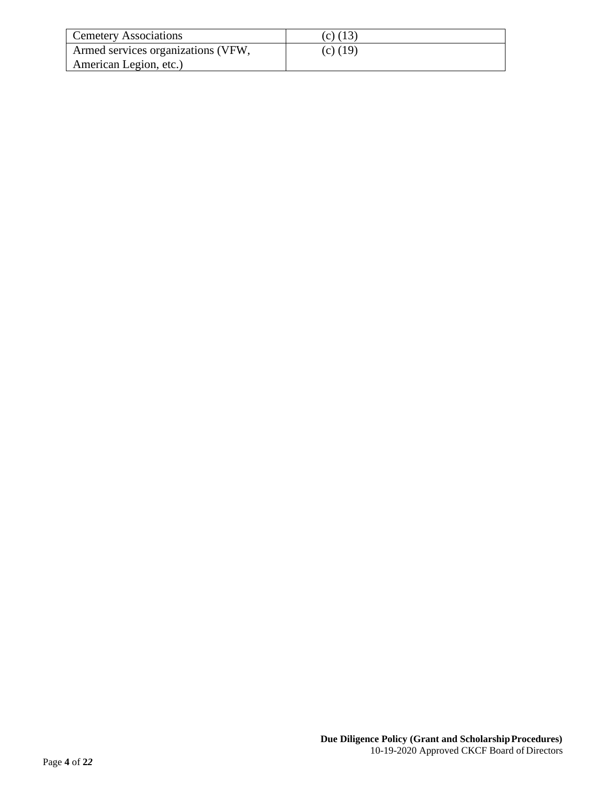| <b>Cemetery Associations</b>       | $(c)$ (13) |
|------------------------------------|------------|
| Armed services organizations (VFW, | $(c)$ (19) |
| American Legion, etc.)             |            |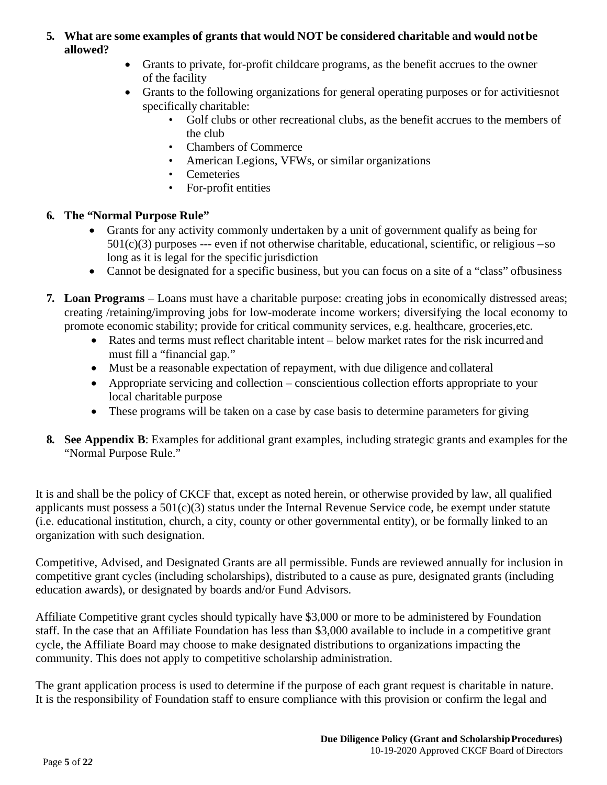### **5. What are some examples of grants that would NOT be considered charitable and would notbe allowed?**

- Grants to private, for-profit childcare programs, as the benefit accrues to the owner of the facility
- Grants to the following organizations for general operating purposes or for activitiesnot specifically charitable:
	- Golf clubs or other recreational clubs, as the benefit accrues to the members of the club
	- Chambers of Commerce
	- American Legions, VFWs, or similar organizations
	- Cemeteries
	- For-profit entities

## **6. The "Normal Purpose Rule"**

- Grants for any activity commonly undertaken by a unit of government qualify as being for  $501(c)(3)$  purposes --- even if not otherwise charitable, educational, scientific, or religious –so long as it is legal for the specific jurisdiction
- Cannot be designated for a specific business, but you can focus on a site of a "class" ofbusiness
- **7. Loan Programs**  Loans must have a charitable purpose: creating jobs in economically distressed areas; creating /retaining/improving jobs for low-moderate income workers; diversifying the local economy to promote economic stability; provide for critical community services, e.g. healthcare, groceries,etc.
	- Rates and terms must reflect charitable intent below market rates for the risk incurred and must fill a "financial gap."
	- Must be a reasonable expectation of repayment, with due diligence and collateral
	- Appropriate servicing and collection conscientious collection efforts appropriate to your local charitable purpose
	- These programs will be taken on a case by case basis to determine parameters for giving
- **8. See Appendix B**: Examples for additional grant examples, including strategic grants and examples for the "Normal Purpose Rule."

It is and shall be the policy of CKCF that, except as noted herein, or otherwise provided by law, all qualified applicants must possess a  $501(c)(3)$  status under the Internal Revenue Service code, be exempt under statute (i.e. educational institution, church, a city, county or other governmental entity), or be formally linked to an organization with such designation.

Competitive, Advised, and Designated Grants are all permissible. Funds are reviewed annually for inclusion in competitive grant cycles (including scholarships), distributed to a cause as pure, designated grants (including education awards), or designated by boards and/or Fund Advisors.

Affiliate Competitive grant cycles should typically have \$3,000 or more to be administered by Foundation staff. In the case that an Affiliate Foundation has less than \$3,000 available to include in a competitive grant cycle, the Affiliate Board may choose to make designated distributions to organizations impacting the community. This does not apply to competitive scholarship administration.

The grant application process is used to determine if the purpose of each grant request is charitable in nature. It is the responsibility of Foundation staff to ensure compliance with this provision or confirm the legal and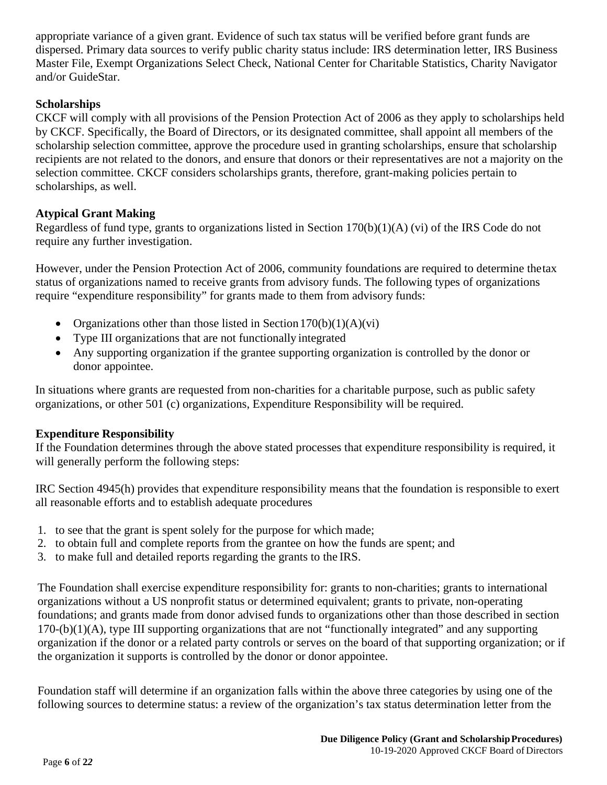appropriate variance of a given grant. Evidence of such tax status will be verified before grant funds are dispersed. Primary data sources to verify public charity status include: IRS determination letter, IRS Business Master File, Exempt Organizations Select Check, National Center for Charitable Statistics, Charity Navigator and/or GuideStar.

#### **Scholarships**

CKCF will comply with all provisions of the Pension Protection Act of 2006 as they apply to scholarships held by CKCF. Specifically, the Board of Directors, or its designated committee, shall appoint all members of the scholarship selection committee, approve the procedure used in granting scholarships, ensure that scholarship recipients are not related to the donors, and ensure that donors or their representatives are not a majority on the selection committee. CKCF considers scholarships grants, therefore, grant-making policies pertain to scholarships, as well.

#### **Atypical Grant Making**

Regardless of fund type, grants to organizations listed in Section 170(b)(1)(A) (vi) of the IRS Code do not require any further investigation.

However, under the Pension Protection Act of 2006, community foundations are required to determine thetax status of organizations named to receive grants from advisory funds. The following types of organizations require "expenditure responsibility" for grants made to them from advisory funds:

- Organizations other than those listed in Section  $170(b)(1)(A)(vi)$
- Type III organizations that are not functionally integrated
- Any supporting organization if the grantee supporting organization is controlled by the donor or donor appointee.

In situations where grants are requested from non-charities for a charitable purpose, such as public safety organizations, or other 501 (c) organizations, Expenditure Responsibility will be required.

#### **Expenditure Responsibility**

If the Foundation determines through the above stated processes that expenditure responsibility is required, it will generally perform the following steps:

IRC Section 4945(h) provides that expenditure responsibility means that the foundation is responsible to exert all reasonable efforts and to establish adequate procedures

- 1. to see that the grant is spent solely for the purpose for which made;
- 2. to obtain full and complete reports from the grantee on how the funds are spent; and
- 3. to make full and detailed reports regarding the grants to the IRS.

The Foundation shall exercise expenditure responsibility for: grants to non-charities; grants to international organizations without a US nonprofit status or determined equivalent; grants to private, non-operating foundations; and grants made from donor advised funds to organizations other than those described in section 170-(b)(1)(A), type III supporting organizations that are not "functionally integrated" and any supporting organization if the donor or a related party controls or serves on the board of that supporting organization; or if the organization it supports is controlled by the donor or donor appointee.

Foundation staff will determine if an organization falls within the above three categories by using one of the following sources to determine status: a review of the organization's tax status determination letter from the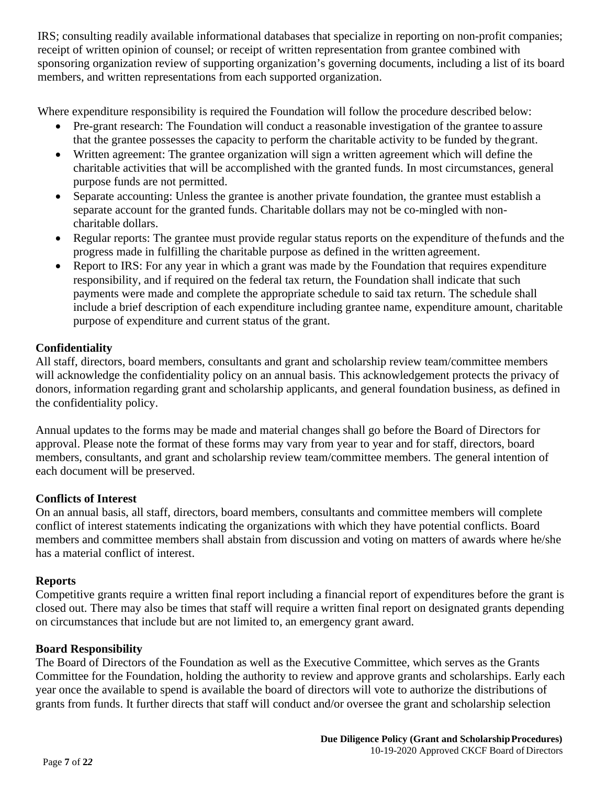IRS; consulting readily available informational databases that specialize in reporting on non-profit companies; receipt of written opinion of counsel; or receipt of written representation from grantee combined with sponsoring organization review of supporting organization's governing documents, including a list of its board members, and written representations from each supported organization.

Where expenditure responsibility is required the Foundation will follow the procedure described below:

- Pre-grant research: The Foundation will conduct a reasonable investigation of the grantee to assure that the grantee possesses the capacity to perform the charitable activity to be funded by thegrant.
- Written agreement: The grantee organization will sign a written agreement which will define the charitable activities that will be accomplished with the granted funds. In most circumstances, general purpose funds are not permitted.
- Separate accounting: Unless the grantee is another private foundation, the grantee must establish a separate account for the granted funds. Charitable dollars may not be co-mingled with noncharitable dollars.
- Regular reports: The grantee must provide regular status reports on the expenditure of the funds and the progress made in fulfilling the charitable purpose as defined in the written agreement.
- Report to IRS: For any year in which a grant was made by the Foundation that requires expenditure responsibility, and if required on the federal tax return, the Foundation shall indicate that such payments were made and complete the appropriate schedule to said tax return. The schedule shall include a brief description of each expenditure including grantee name, expenditure amount, charitable purpose of expenditure and current status of the grant.

### **Confidentiality**

All staff, directors, board members, consultants and grant and scholarship review team/committee members will acknowledge the confidentiality policy on an annual basis. This acknowledgement protects the privacy of donors, information regarding grant and scholarship applicants, and general foundation business, as defined in the confidentiality policy.

Annual updates to the forms may be made and material changes shall go before the Board of Directors for approval. Please note the format of these forms may vary from year to year and for staff, directors, board members, consultants, and grant and scholarship review team/committee members. The general intention of each document will be preserved.

## **Conflicts of Interest**

On an annual basis, all staff, directors, board members, consultants and committee members will complete conflict of interest statements indicating the organizations with which they have potential conflicts. Board members and committee members shall abstain from discussion and voting on matters of awards where he/she has a material conflict of interest.

#### **Reports**

Competitive grants require a written final report including a financial report of expenditures before the grant is closed out. There may also be times that staff will require a written final report on designated grants depending on circumstances that include but are not limited to, an emergency grant award.

#### **Board Responsibility**

The Board of Directors of the Foundation as well as the Executive Committee, which serves as the Grants Committee for the Foundation, holding the authority to review and approve grants and scholarships. Early each year once the available to spend is available the board of directors will vote to authorize the distributions of grants from funds. It further directs that staff will conduct and/or oversee the grant and scholarship selection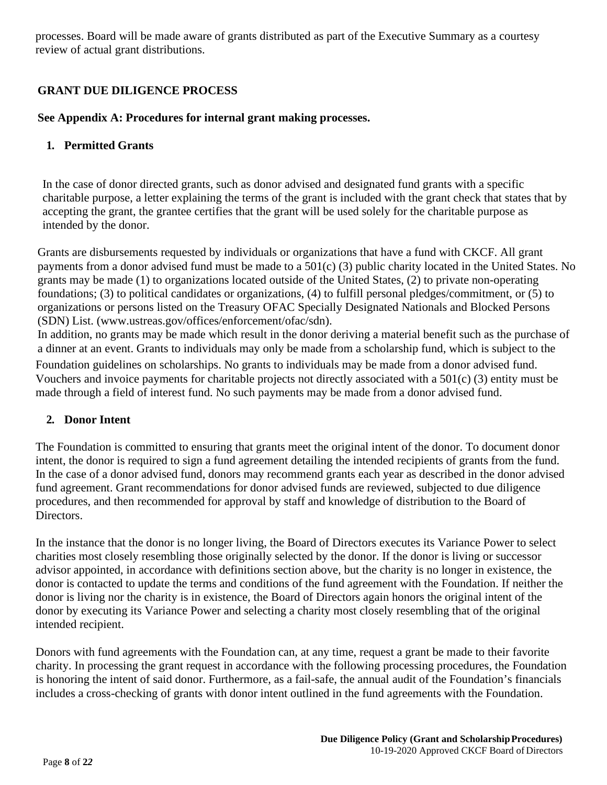processes. Board will be made aware of grants distributed as part of the Executive Summary as a courtesy review of actual grant distributions.

## **GRANT DUE DILIGENCE PROCESS**

#### **See Appendix A: Procedures for internal grant making processes.**

#### **1. Permitted Grants**

In the case of donor directed grants, such as donor advised and designated fund grants with a specific charitable purpose, a letter explaining the terms of the grant is included with the grant check that states that by accepting the grant, the grantee certifies that the grant will be used solely for the charitable purpose as intended by the donor.

Grants are disbursements requested by individuals or organizations that have a fund with CKCF. All grant payments from a donor advised fund must be made to a 501(c) (3) public charity located in the United States. No grants may be made (1) to organizations located outside of the United States, (2) to private non-operating foundations; (3) to political candidates or organizations, (4) to fulfill personal pledges/commitment, or (5) to organizations or persons listed on the Treasury OFAC Specially Designated Nationals and Blocked Persons (SDN) List. [\(www.ustreas.gov/offices/enforcement/ofac/sdn\).](http://www.ustreas.gov/offices/enforcement/ofac/sdn))

In addition, no grants may be made which result in the donor deriving a material benefit such as the purchase of a dinner at an event. Grants to individuals may only be made from a scholarship fund, which is subject to the Foundation guidelines on scholarships. No grants to individuals may be made from a donor advised fund. Vouchers and invoice payments for charitable projects not directly associated with a 501(c) (3) entity must be made through a field of interest fund. No such payments may be made from a donor advised fund.

#### **2. Donor Intent**

The Foundation is committed to ensuring that grants meet the original intent of the donor. To document donor intent, the donor is required to sign a fund agreement detailing the intended recipients of grants from the fund. In the case of a donor advised fund, donors may recommend grants each year as described in the donor advised fund agreement. Grant recommendations for donor advised funds are reviewed, subjected to due diligence procedures, and then recommended for approval by staff and knowledge of distribution to the Board of Directors.

In the instance that the donor is no longer living, the Board of Directors executes its Variance Power to select charities most closely resembling those originally selected by the donor. If the donor is living or successor advisor appointed, in accordance with definitions section above, but the charity is no longer in existence, the donor is contacted to update the terms and conditions of the fund agreement with the Foundation. If neither the donor is living nor the charity is in existence, the Board of Directors again honors the original intent of the donor by executing its Variance Power and selecting a charity most closely resembling that of the original intended recipient.

Donors with fund agreements with the Foundation can, at any time, request a grant be made to their favorite charity. In processing the grant request in accordance with the following processing procedures, the Foundation is honoring the intent of said donor. Furthermore, as a fail-safe, the annual audit of the Foundation's financials includes a cross-checking of grants with donor intent outlined in the fund agreements with the Foundation.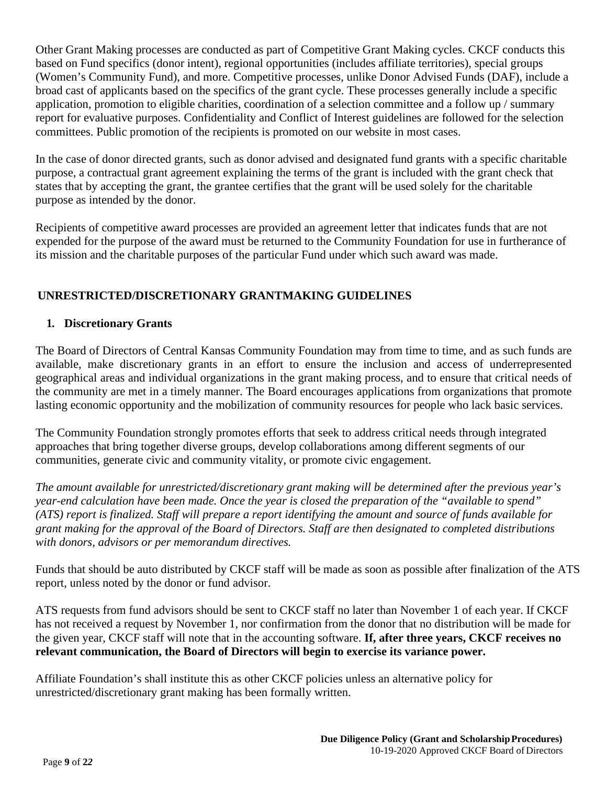Other Grant Making processes are conducted as part of Competitive Grant Making cycles. CKCF conducts this based on Fund specifics (donor intent), regional opportunities (includes affiliate territories), special groups (Women's Community Fund), and more. Competitive processes, unlike Donor Advised Funds (DAF), include a broad cast of applicants based on the specifics of the grant cycle. These processes generally include a specific application, promotion to eligible charities, coordination of a selection committee and a follow up / summary report for evaluative purposes. Confidentiality and Conflict of Interest guidelines are followed for the selection committees. Public promotion of the recipients is promoted on our website in most cases.

In the case of donor directed grants, such as donor advised and designated fund grants with a specific charitable purpose, a contractual grant agreement explaining the terms of the grant is included with the grant check that states that by accepting the grant, the grantee certifies that the grant will be used solely for the charitable purpose as intended by the donor.

Recipients of competitive award processes are provided an agreement letter that indicates funds that are not expended for the purpose of the award must be returned to the Community Foundation for use in furtherance of its mission and the charitable purposes of the particular Fund under which such award was made.

## **UNRESTRICTED/DISCRETIONARY GRANTMAKING GUIDELINES**

### **1. Discretionary Grants**

The Board of Directors of Central Kansas Community Foundation may from time to time, and as such funds are available, make discretionary grants in an effort to ensure the inclusion and access of underrepresented geographical areas and individual organizations in the grant making process, and to ensure that critical needs of the community are met in a timely manner. The Board encourages applications from organizations that promote lasting economic opportunity and the mobilization of community resources for people who lack basic services.

The Community Foundation strongly promotes efforts that seek to address critical needs through integrated approaches that bring together diverse groups, develop collaborations among different segments of our communities, generate civic and community vitality, or promote civic engagement.

*The amount available for unrestricted/discretionary grant making will be determined after the previous year's year-end calculation have been made. Once the year is closed the preparation of the "available to spend" (ATS) report is finalized. Staff will prepare a report identifying the amount and source of funds available for grant making for the approval of the Board of Directors. Staff are then designated to completed distributions with donors, advisors or per memorandum directives.*

Funds that should be auto distributed by CKCF staff will be made as soon as possible after finalization of the ATS report, unless noted by the donor or fund advisor.

ATS requests from fund advisors should be sent to CKCF staff no later than November 1 of each year. If CKCF has not received a request by November 1, nor confirmation from the donor that no distribution will be made for the given year, CKCF staff will note that in the accounting software. **If, after three years, CKCF receives no relevant communication, the Board of Directors will begin to exercise its variance power.**

Affiliate Foundation's shall institute this as other CKCF policies unless an alternative policy for unrestricted/discretionary grant making has been formally written.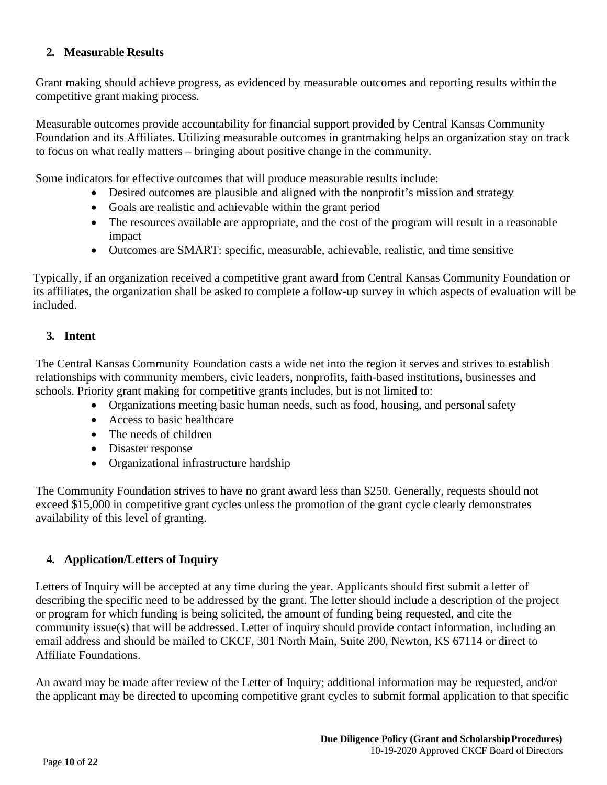### **2. Measurable Results**

Grant making should achieve progress, as evidenced by measurable outcomes and reporting results within the competitive grant making process.

Measurable outcomes provide accountability for financial support provided by Central Kansas Community Foundation and its Affiliates. Utilizing measurable outcomes in grantmaking helps an organization stay on track to focus on what really matters – bringing about positive change in the community.

Some indicators for effective outcomes that will produce measurable results include:

- Desired outcomes are plausible and aligned with the nonprofit's mission and strategy
- Goals are realistic and achievable within the grant period
- The resources available are appropriate, and the cost of the program will result in a reasonable impact
- Outcomes are SMART: specific, measurable, achievable, realistic, and time sensitive

Typically, if an organization received a competitive grant award from Central Kansas Community Foundation or its affiliates, the organization shall be asked to complete a follow-up survey in which aspects of evaluation will be included.

### **3. Intent**

The Central Kansas Community Foundation casts a wide net into the region it serves and strives to establish relationships with community members, civic leaders, nonprofits, faith-based institutions, businesses and schools. Priority grant making for competitive grants includes, but is not limited to:

- Organizations meeting basic human needs, such as food, housing, and personal safety
- Access to basic healthcare
- The needs of children
- Disaster response
- Organizational infrastructure hardship

The Community Foundation strives to have no grant award less than \$250. Generally, requests should not exceed \$15,000 in competitive grant cycles unless the promotion of the grant cycle clearly demonstrates availability of this level of granting.

## **4. Application/Letters of Inquiry**

Letters of Inquiry will be accepted at any time during the year. Applicants should first submit a letter of describing the specific need to be addressed by the grant. The letter should include a description of the project or program for which funding is being solicited, the amount of funding being requested, and cite the community issue(s) that will be addressed. Letter of inquiry should provide contact information, including an email address and should be mailed to CKCF, 301 North Main, Suite 200, Newton, KS 67114 or direct to Affiliate Foundations.

An award may be made after review of the Letter of Inquiry; additional information may be requested, and/or the applicant may be directed to upcoming competitive grant cycles to submit formal application to that specific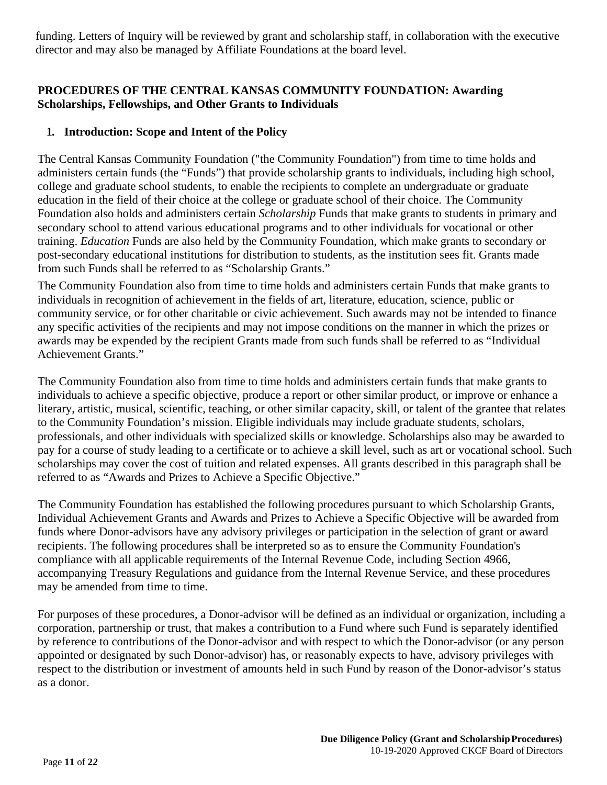funding. Letters of Inquiry will be reviewed by grant and scholarship staff, in collaboration with the executive director and may also be managed by Affiliate Foundations at the board level.

## **PROCEDURES OF THE CENTRAL KANSAS COMMUNITY FOUNDATION: Awarding Scholarships, Fellowships, and Other Grants to Individuals**

#### **1. Introduction: Scope and Intent of the Policy**

The Central Kansas Community Foundation ("the Community Foundation") from time to time holds and administers certain funds (the "Funds") that provide scholarship grants to individuals, including high school, college and graduate school students, to enable the recipients to complete an undergraduate or graduate education in the field of their choice at the college or graduate school of their choice. The Community Foundation also holds and administers certain *Scholarship* Funds that make grants to students in primary and secondary school to attend various educational programs and to other individuals for vocational or other training. *Education* Funds are also held by the Community Foundation, which make grants to secondary or post-secondary educational institutions for distribution to students, as the institution sees fit. Grants made from such Funds shall be referred to as "Scholarship Grants."

The Community Foundation also from time to time holds and administers certain Funds that make grants to individuals in recognition of achievement in the fields of art, literature, education, science, public or community service, or for other charitable or civic achievement. Such awards may not be intended to finance any specific activities of the recipients and may not impose conditions on the manner in which the prizes or awards may be expended by the recipient Grants made from such funds shall be referred to as "Individual Achievement Grants."

The Community Foundation also from time to time holds and administers certain funds that make grants to individuals to achieve a specific objective, produce a report or other similar product, or improve or enhance a literary, artistic, musical, scientific, teaching, or other similar capacity, skill, or talent of the grantee that relates to the Community Foundation's mission. Eligible individuals may include graduate students, scholars, professionals, and other individuals with specialized skills or knowledge. Scholarships also may be awarded to pay for a course of study leading to a certificate or to achieve a skill level, such as art or vocational school. Such scholarships may cover the cost of tuition and related expenses. All grants described in this paragraph shall be referred to as "Awards and Prizes to Achieve a Specific Objective."

The Community Foundation has established the following procedures pursuant to which Scholarship Grants, Individual Achievement Grants and Awards and Prizes to Achieve a Specific Objective will be awarded from funds where Donor-advisors have any advisory privileges or participation in the selection of grant or award recipients. The following procedures shall be interpreted so as to ensure the Community Foundation's compliance with all applicable requirements of the Internal Revenue Code, including Section 4966, accompanying Treasury Regulations and guidance from the Internal Revenue Service, and these procedures may be amended from time to time.

For purposes of these procedures, a Donor-advisor will be defined as an individual or organization, including a corporation, partnership or trust, that makes a contribution to a Fund where such Fund is separately identified by reference to contributions of the Donor-advisor and with respect to which the Donor-advisor (or any person appointed or designated by such Donor-advisor) has, or reasonably expects to have, advisory privileges with respect to the distribution or investment of amounts held in such Fund by reason of the Donor-advisor's status as a donor.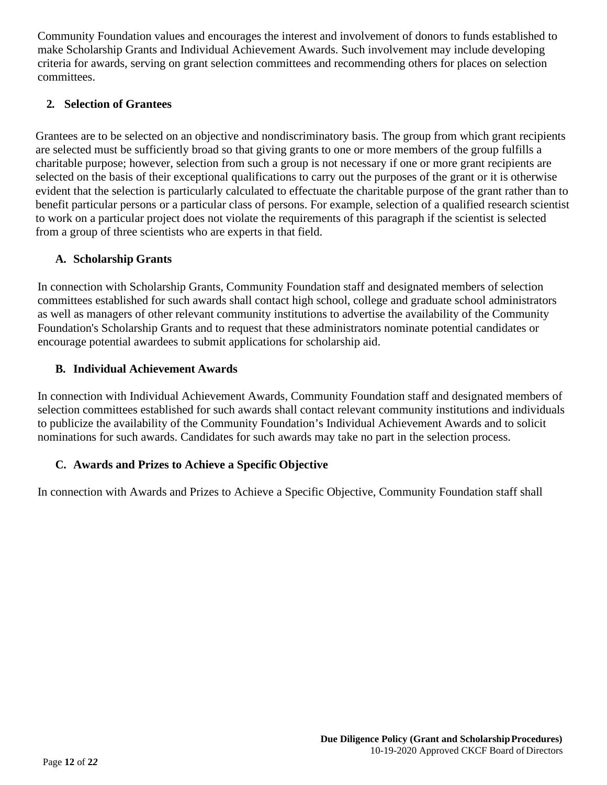Community Foundation values and encourages the interest and involvement of donors to funds established to make Scholarship Grants and Individual Achievement Awards. Such involvement may include developing criteria for awards, serving on grant selection committees and recommending others for places on selection committees.

#### **2. Selection of Grantees**

Grantees are to be selected on an objective and nondiscriminatory basis. The group from which grant recipients are selected must be sufficiently broad so that giving grants to one or more members of the group fulfills a charitable purpose; however, selection from such a group is not necessary if one or more grant recipients are selected on the basis of their exceptional qualifications to carry out the purposes of the grant or it is otherwise evident that the selection is particularly calculated to effectuate the charitable purpose of the grant rather than to benefit particular persons or a particular class of persons. For example, selection of a qualified research scientist to work on a particular project does not violate the requirements of this paragraph if the scientist is selected from a group of three scientists who are experts in that field.

#### **A. Scholarship Grants**

In connection with Scholarship Grants, Community Foundation staff and designated members of selection committees established for such awards shall contact high school, college and graduate school administrators as well as managers of other relevant community institutions to advertise the availability of the Community Foundation's Scholarship Grants and to request that these administrators nominate potential candidates or encourage potential awardees to submit applications for scholarship aid.

#### **B. Individual Achievement Awards**

In connection with Individual Achievement Awards, Community Foundation staff and designated members of selection committees established for such awards shall contact relevant community institutions and individuals to publicize the availability of the Community Foundation's Individual Achievement Awards and to solicit nominations for such awards. Candidates for such awards may take no part in the selection process.

#### **C. Awards and Prizes to Achieve a Specific Objective**

In connection with Awards and Prizes to Achieve a Specific Objective, Community Foundation staff shall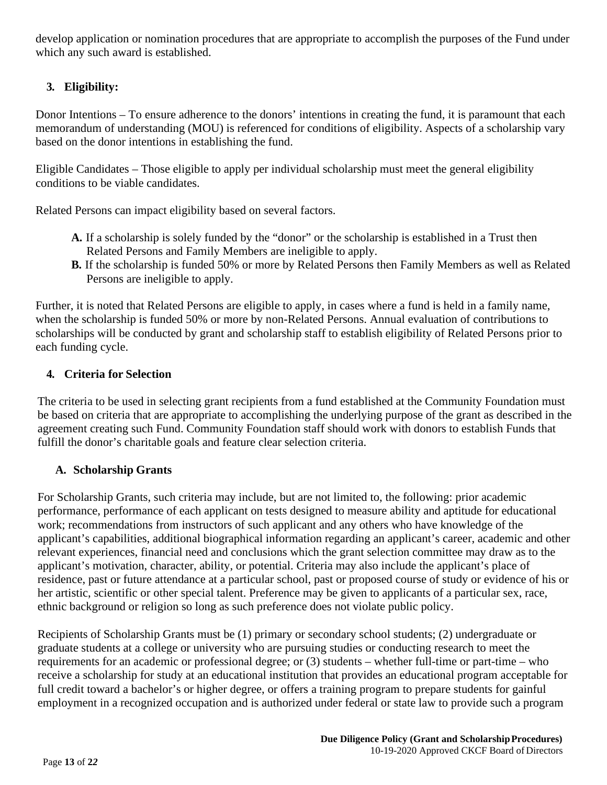develop application or nomination procedures that are appropriate to accomplish the purposes of the Fund under which any such award is established.

# **3. Eligibility:**

Donor Intentions – To ensure adherence to the donors' intentions in creating the fund, it is paramount that each memorandum of understanding (MOU) is referenced for conditions of eligibility. Aspects of a scholarship vary based on the donor intentions in establishing the fund.

Eligible Candidates – Those eligible to apply per individual scholarship must meet the general eligibility conditions to be viable candidates.

Related Persons can impact eligibility based on several factors.

- **A.** If a scholarship is solely funded by the "donor" or the scholarship is established in a Trust then Related Persons and Family Members are ineligible to apply.
- **B.** If the scholarship is funded 50% or more by Related Persons then Family Members as well as Related Persons are ineligible to apply.

Further, it is noted that Related Persons are eligible to apply, in cases where a fund is held in a family name, when the scholarship is funded 50% or more by non-Related Persons. Annual evaluation of contributions to scholarships will be conducted by grant and scholarship staff to establish eligibility of Related Persons prior to each funding cycle.

## **4. Criteria for Selection**

The criteria to be used in selecting grant recipients from a fund established at the Community Foundation must be based on criteria that are appropriate to accomplishing the underlying purpose of the grant as described in the agreement creating such Fund. Community Foundation staff should work with donors to establish Funds that fulfill the donor's charitable goals and feature clear selection criteria.

## **A. Scholarship Grants**

For Scholarship Grants, such criteria may include, but are not limited to, the following: prior academic performance, performance of each applicant on tests designed to measure ability and aptitude for educational work; recommendations from instructors of such applicant and any others who have knowledge of the applicant's capabilities, additional biographical information regarding an applicant's career, academic and other relevant experiences, financial need and conclusions which the grant selection committee may draw as to the applicant's motivation, character, ability, or potential. Criteria may also include the applicant's place of residence, past or future attendance at a particular school, past or proposed course of study or evidence of his or her artistic, scientific or other special talent. Preference may be given to applicants of a particular sex, race, ethnic background or religion so long as such preference does not violate public policy.

Recipients of Scholarship Grants must be (1) primary or secondary school students; (2) undergraduate or graduate students at a college or university who are pursuing studies or conducting research to meet the requirements for an academic or professional degree; or (3) students – whether full-time or part-time – who receive a scholarship for study at an educational institution that provides an educational program acceptable for full credit toward a bachelor's or higher degree, or offers a training program to prepare students for gainful employment in a recognized occupation and is authorized under federal or state law to provide such a program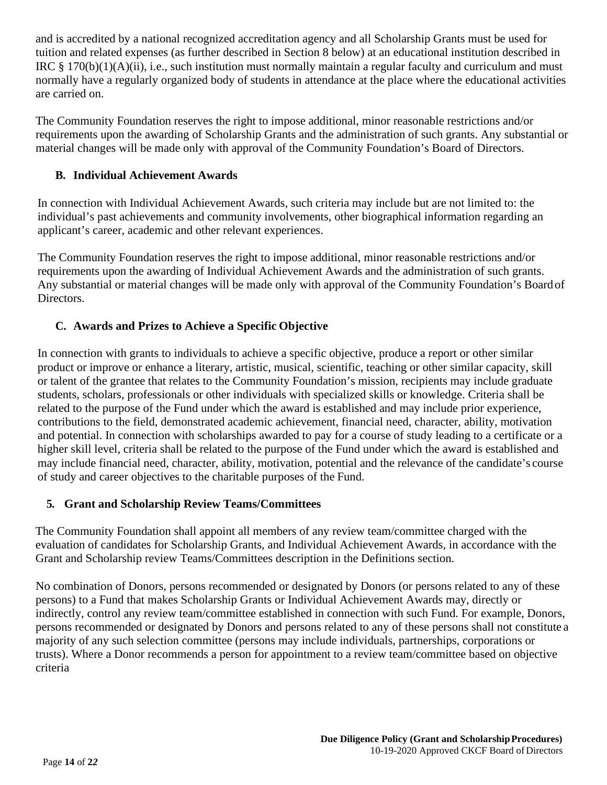and is accredited by a national recognized accreditation agency and all Scholarship Grants must be used for tuition and related expenses (as further described in Section 8 below) at an educational institution described in IRC § 170(b)(1)(A)(ii), i.e., such institution must normally maintain a regular faculty and curriculum and must normally have a regularly organized body of students in attendance at the place where the educational activities are carried on.

The Community Foundation reserves the right to impose additional, minor reasonable restrictions and/or requirements upon the awarding of Scholarship Grants and the administration of such grants. Any substantial or material changes will be made only with approval of the Community Foundation's Board of Directors.

### **B. Individual Achievement Awards**

In connection with Individual Achievement Awards, such criteria may include but are not limited to: the individual's past achievements and community involvements, other biographical information regarding an applicant's career, academic and other relevant experiences.

The Community Foundation reserves the right to impose additional, minor reasonable restrictions and/or requirements upon the awarding of Individual Achievement Awards and the administration of such grants. Any substantial or material changes will be made only with approval of the Community Foundation's Board of Directors.

### **C. Awards and Prizes to Achieve a Specific Objective**

In connection with grants to individuals to achieve a specific objective, produce a report or other similar product or improve or enhance a literary, artistic, musical, scientific, teaching or other similar capacity, skill or talent of the grantee that relates to the Community Foundation's mission, recipients may include graduate students, scholars, professionals or other individuals with specialized skills or knowledge. Criteria shall be related to the purpose of the Fund under which the award is established and may include prior experience, contributions to the field, demonstrated academic achievement, financial need, character, ability, motivation and potential. In connection with scholarships awarded to pay for a course of study leading to a certificate or a higher skill level, criteria shall be related to the purpose of the Fund under which the award is established and may include financial need, character, ability, motivation, potential and the relevance of the candidate's course of study and career objectives to the charitable purposes of the Fund.

#### **5. Grant and Scholarship Review Teams/Committees**

The Community Foundation shall appoint all members of any review team/committee charged with the evaluation of candidates for Scholarship Grants, and Individual Achievement Awards, in accordance with the Grant and Scholarship review Teams/Committees description in the Definitions section.

No combination of Donors, persons recommended or designated by Donors (or persons related to any of these persons) to a Fund that makes Scholarship Grants or Individual Achievement Awards may, directly or indirectly, control any review team/committee established in connection with such Fund. For example, Donors, persons recommended or designated by Donors and persons related to any of these persons shall not constitute a majority of any such selection committee (persons may include individuals, partnerships, corporations or trusts). Where a Donor recommends a person for appointment to a review team/committee based on objective criteria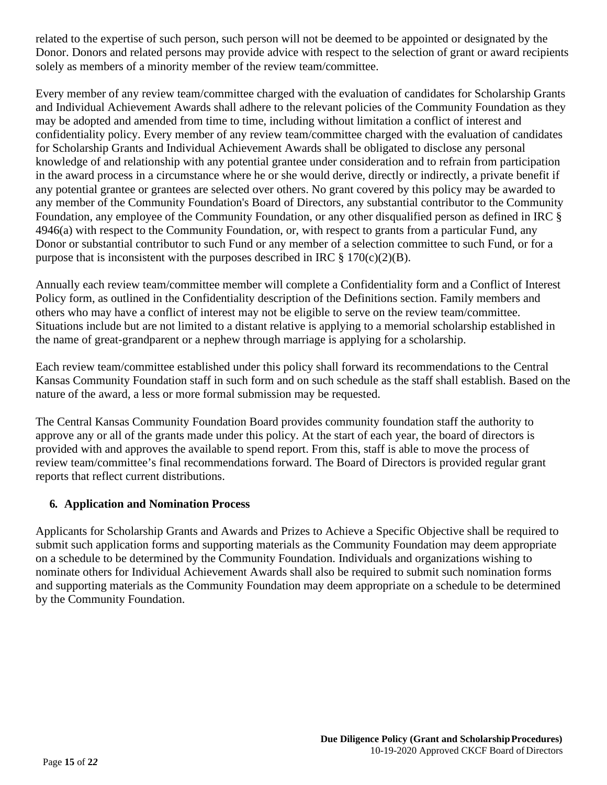related to the expertise of such person, such person will not be deemed to be appointed or designated by the Donor. Donors and related persons may provide advice with respect to the selection of grant or award recipients solely as members of a minority member of the review team/committee.

Every member of any review team/committee charged with the evaluation of candidates for Scholarship Grants and Individual Achievement Awards shall adhere to the relevant policies of the Community Foundation as they may be adopted and amended from time to time, including without limitation a conflict of interest and confidentiality policy. Every member of any review team/committee charged with the evaluation of candidates for Scholarship Grants and Individual Achievement Awards shall be obligated to disclose any personal knowledge of and relationship with any potential grantee under consideration and to refrain from participation in the award process in a circumstance where he or she would derive, directly or indirectly, a private benefit if any potential grantee or grantees are selected over others. No grant covered by this policy may be awarded to any member of the Community Foundation's Board of Directors, any substantial contributor to the Community Foundation, any employee of the Community Foundation, or any other disqualified person as defined in IRC § 4946(a) with respect to the Community Foundation, or, with respect to grants from a particular Fund, any Donor or substantial contributor to such Fund or any member of a selection committee to such Fund, or for a purpose that is inconsistent with the purposes described in IRC  $\S 170(c)(2)(B)$ .

Annually each review team/committee member will complete a Confidentiality form and a Conflict of Interest Policy form, as outlined in the Confidentiality description of the Definitions section. Family members and others who may have a conflict of interest may not be eligible to serve on the review team/committee. Situations include but are not limited to a distant relative is applying to a memorial scholarship established in the name of great-grandparent or a nephew through marriage is applying for a scholarship.

Each review team/committee established under this policy shall forward its recommendations to the Central Kansas Community Foundation staff in such form and on such schedule as the staff shall establish. Based on the nature of the award, a less or more formal submission may be requested.

The Central Kansas Community Foundation Board provides community foundation staff the authority to approve any or all of the grants made under this policy. At the start of each year, the board of directors is provided with and approves the available to spend report. From this, staff is able to move the process of review team/committee's final recommendations forward. The Board of Directors is provided regular grant reports that reflect current distributions.

#### **6. Application and Nomination Process**

Applicants for Scholarship Grants and Awards and Prizes to Achieve a Specific Objective shall be required to submit such application forms and supporting materials as the Community Foundation may deem appropriate on a schedule to be determined by the Community Foundation. Individuals and organizations wishing to nominate others for Individual Achievement Awards shall also be required to submit such nomination forms and supporting materials as the Community Foundation may deem appropriate on a schedule to be determined by the Community Foundation.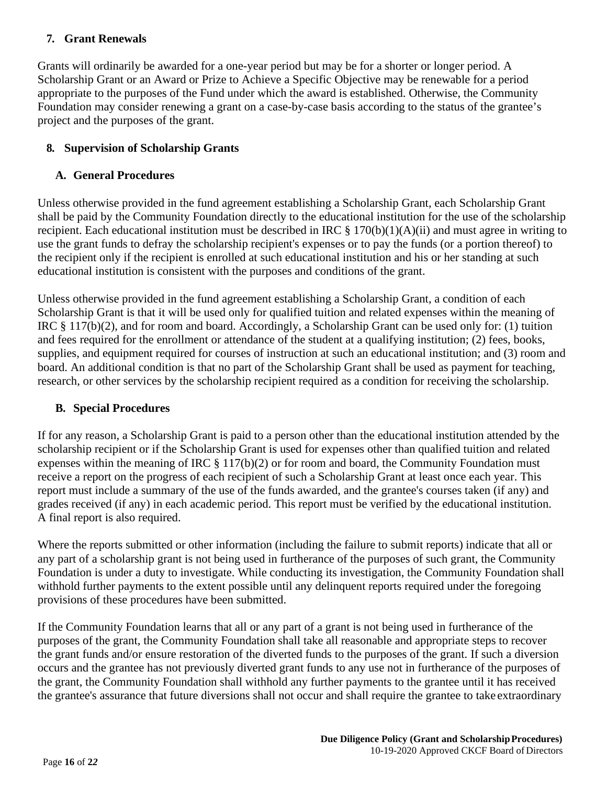#### **7. Grant Renewals**

Grants will ordinarily be awarded for a one-year period but may be for a shorter or longer period. A Scholarship Grant or an Award or Prize to Achieve a Specific Objective may be renewable for a period appropriate to the purposes of the Fund under which the award is established. Otherwise, the Community Foundation may consider renewing a grant on a case-by-case basis according to the status of the grantee's project and the purposes of the grant.

## **8. Supervision of Scholarship Grants**

## **A. General Procedures**

Unless otherwise provided in the fund agreement establishing a Scholarship Grant, each Scholarship Grant shall be paid by the Community Foundation directly to the educational institution for the use of the scholarship recipient. Each educational institution must be described in IRC § 170(b)(1)(A)(ii) and must agree in writing to use the grant funds to defray the scholarship recipient's expenses or to pay the funds (or a portion thereof) to the recipient only if the recipient is enrolled at such educational institution and his or her standing at such educational institution is consistent with the purposes and conditions of the grant.

Unless otherwise provided in the fund agreement establishing a Scholarship Grant, a condition of each Scholarship Grant is that it will be used only for qualified tuition and related expenses within the meaning of IRC § 117(b)(2), and for room and board. Accordingly, a Scholarship Grant can be used only for: (1) tuition and fees required for the enrollment or attendance of the student at a qualifying institution; (2) fees, books, supplies, and equipment required for courses of instruction at such an educational institution; and (3) room and board. An additional condition is that no part of the Scholarship Grant shall be used as payment for teaching, research, or other services by the scholarship recipient required as a condition for receiving the scholarship.

## **B. Special Procedures**

If for any reason, a Scholarship Grant is paid to a person other than the educational institution attended by the scholarship recipient or if the Scholarship Grant is used for expenses other than qualified tuition and related expenses within the meaning of IRC § 117(b)(2) or for room and board, the Community Foundation must receive a report on the progress of each recipient of such a Scholarship Grant at least once each year. This report must include a summary of the use of the funds awarded, and the grantee's courses taken (if any) and grades received (if any) in each academic period. This report must be verified by the educational institution. A final report is also required.

Where the reports submitted or other information (including the failure to submit reports) indicate that all or any part of a scholarship grant is not being used in furtherance of the purposes of such grant, the Community Foundation is under a duty to investigate. While conducting its investigation, the Community Foundation shall withhold further payments to the extent possible until any delinquent reports required under the foregoing provisions of these procedures have been submitted.

If the Community Foundation learns that all or any part of a grant is not being used in furtherance of the purposes of the grant, the Community Foundation shall take all reasonable and appropriate steps to recover the grant funds and/or ensure restoration of the diverted funds to the purposes of the grant. If such a diversion occurs and the grantee has not previously diverted grant funds to any use not in furtherance of the purposes of the grant, the Community Foundation shall withhold any further payments to the grantee until it has received the grantee's assurance that future diversions shall not occur and shall require the grantee to take extraordinary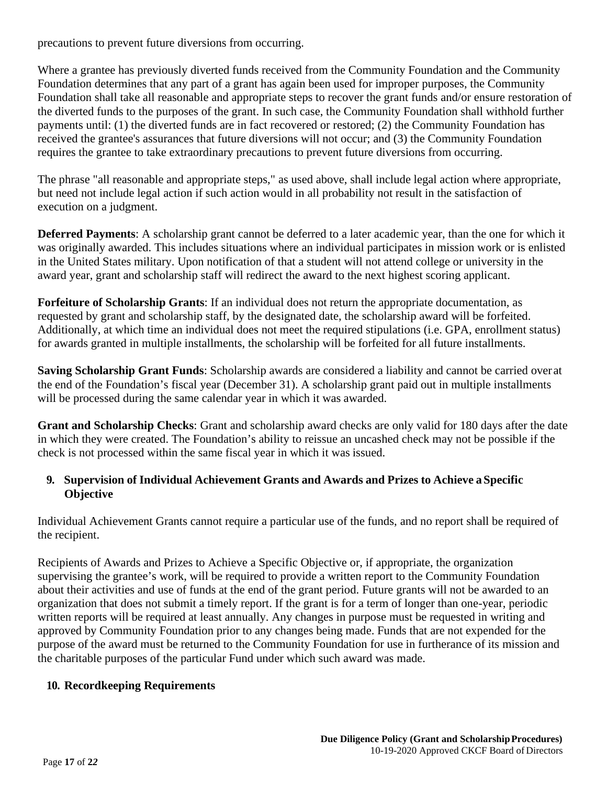precautions to prevent future diversions from occurring.

Where a grantee has previously diverted funds received from the Community Foundation and the Community Foundation determines that any part of a grant has again been used for improper purposes, the Community Foundation shall take all reasonable and appropriate steps to recover the grant funds and/or ensure restoration of the diverted funds to the purposes of the grant. In such case, the Community Foundation shall withhold further payments until: (1) the diverted funds are in fact recovered or restored; (2) the Community Foundation has received the grantee's assurances that future diversions will not occur; and (3) the Community Foundation requires the grantee to take extraordinary precautions to prevent future diversions from occurring.

The phrase "all reasonable and appropriate steps," as used above, shall include legal action where appropriate, but need not include legal action if such action would in all probability not result in the satisfaction of execution on a judgment.

**Deferred Payments**: A scholarship grant cannot be deferred to a later academic year, than the one for which it was originally awarded. This includes situations where an individual participates in mission work or is enlisted in the United States military. Upon notification of that a student will not attend college or university in the award year, grant and scholarship staff will redirect the award to the next highest scoring applicant.

**Forfeiture of Scholarship Grants**: If an individual does not return the appropriate documentation, as requested by grant and scholarship staff, by the designated date, the scholarship award will be forfeited. Additionally, at which time an individual does not meet the required stipulations (i.e. GPA, enrollment status) for awards granted in multiple installments, the scholarship will be forfeited for all future installments.

**Saving Scholarship Grant Funds**: Scholarship awards are considered a liability and cannot be carried overat the end of the Foundation's fiscal year (December 31). A scholarship grant paid out in multiple installments will be processed during the same calendar year in which it was awarded.

**Grant and Scholarship Checks**: Grant and scholarship award checks are only valid for 180 days after the date in which they were created. The Foundation's ability to reissue an uncashed check may not be possible if the check is not processed within the same fiscal year in which it was issued.

### **9. Supervision of Individual Achievement Grants and Awards and Prizes to Achieve a Specific Objective**

Individual Achievement Grants cannot require a particular use of the funds, and no report shall be required of the recipient.

Recipients of Awards and Prizes to Achieve a Specific Objective or, if appropriate, the organization supervising the grantee's work, will be required to provide a written report to the Community Foundation about their activities and use of funds at the end of the grant period. Future grants will not be awarded to an organization that does not submit a timely report. If the grant is for a term of longer than one-year, periodic written reports will be required at least annually. Any changes in purpose must be requested in writing and approved by Community Foundation prior to any changes being made. Funds that are not expended for the purpose of the award must be returned to the Community Foundation for use in furtherance of its mission and the charitable purposes of the particular Fund under which such award was made.

#### **10. Recordkeeping Requirements**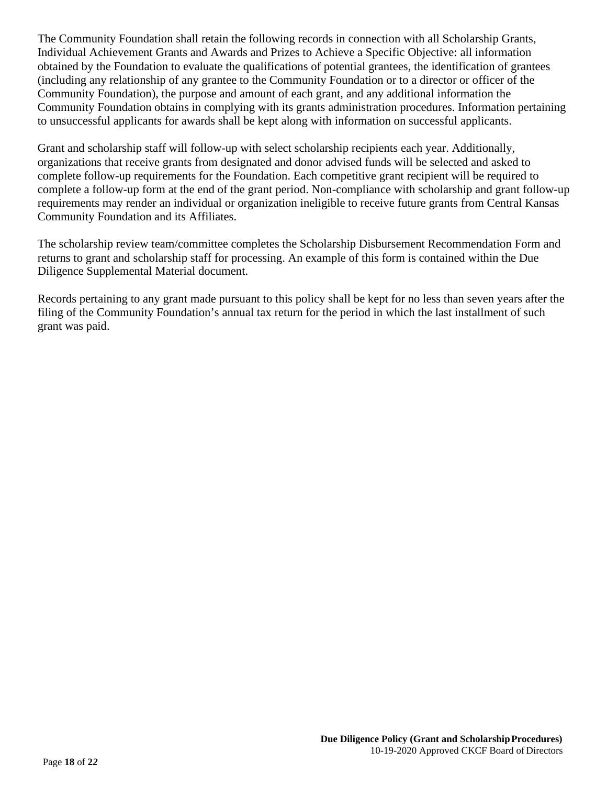The Community Foundation shall retain the following records in connection with all Scholarship Grants, Individual Achievement Grants and Awards and Prizes to Achieve a Specific Objective: all information obtained by the Foundation to evaluate the qualifications of potential grantees, the identification of grantees (including any relationship of any grantee to the Community Foundation or to a director or officer of the Community Foundation), the purpose and amount of each grant, and any additional information the Community Foundation obtains in complying with its grants administration procedures. Information pertaining to unsuccessful applicants for awards shall be kept along with information on successful applicants.

Grant and scholarship staff will follow-up with select scholarship recipients each year. Additionally, organizations that receive grants from designated and donor advised funds will be selected and asked to complete follow-up requirements for the Foundation. Each competitive grant recipient will be required to complete a follow-up form at the end of the grant period. Non-compliance with scholarship and grant follow-up requirements may render an individual or organization ineligible to receive future grants from Central Kansas Community Foundation and its Affiliates.

The scholarship review team/committee completes the Scholarship Disbursement Recommendation Form and returns to grant and scholarship staff for processing. An example of this form is contained within the Due Diligence Supplemental Material document.

Records pertaining to any grant made pursuant to this policy shall be kept for no less than seven years after the filing of the Community Foundation's annual tax return for the period in which the last installment of such grant was paid.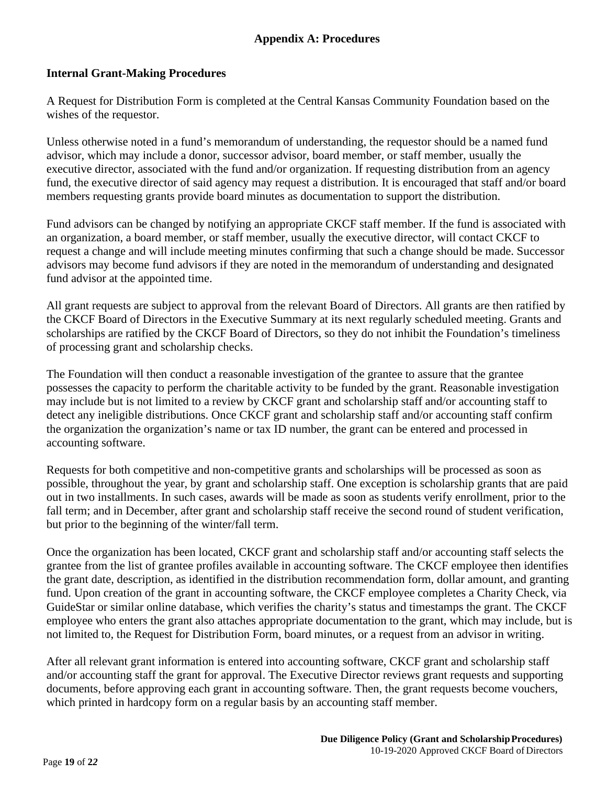#### **Appendix A: Procedures**

#### **Internal Grant-Making Procedures**

A Request for Distribution Form is completed at the Central Kansas Community Foundation based on the wishes of the requestor.

Unless otherwise noted in a fund's memorandum of understanding, the requestor should be a named fund advisor, which may include a donor, successor advisor, board member, or staff member, usually the executive director, associated with the fund and/or organization. If requesting distribution from an agency fund, the executive director of said agency may request a distribution. It is encouraged that staff and/or board members requesting grants provide board minutes as documentation to support the distribution.

Fund advisors can be changed by notifying an appropriate CKCF staff member. If the fund is associated with an organization, a board member, or staff member, usually the executive director, will contact CKCF to request a change and will include meeting minutes confirming that such a change should be made. Successor advisors may become fund advisors if they are noted in the memorandum of understanding and designated fund advisor at the appointed time.

All grant requests are subject to approval from the relevant Board of Directors. All grants are then ratified by the CKCF Board of Directors in the Executive Summary at its next regularly scheduled meeting. Grants and scholarships are ratified by the CKCF Board of Directors, so they do not inhibit the Foundation's timeliness of processing grant and scholarship checks.

The Foundation will then conduct a reasonable investigation of the grantee to assure that the grantee possesses the capacity to perform the charitable activity to be funded by the grant. Reasonable investigation may include but is not limited to a review by CKCF grant and scholarship staff and/or accounting staff to detect any ineligible distributions. Once CKCF grant and scholarship staff and/or accounting staff confirm the organization the organization's name or tax ID number, the grant can be entered and processed in accounting software.

Requests for both competitive and non-competitive grants and scholarships will be processed as soon as possible, throughout the year, by grant and scholarship staff. One exception is scholarship grants that are paid out in two installments. In such cases, awards will be made as soon as students verify enrollment, prior to the fall term; and in December, after grant and scholarship staff receive the second round of student verification, but prior to the beginning of the winter/fall term.

Once the organization has been located, CKCF grant and scholarship staff and/or accounting staff selects the grantee from the list of grantee profiles available in accounting software. The CKCF employee then identifies the grant date, description, as identified in the distribution recommendation form, dollar amount, and granting fund. Upon creation of the grant in accounting software, the CKCF employee completes a Charity Check, via GuideStar or similar online database, which verifies the charity's status and timestamps the grant. The CKCF employee who enters the grant also attaches appropriate documentation to the grant, which may include, but is not limited to, the Request for Distribution Form, board minutes, or a request from an advisor in writing.

After all relevant grant information is entered into accounting software, CKCF grant and scholarship staff and/or accounting staff the grant for approval. The Executive Director reviews grant requests and supporting documents, before approving each grant in accounting software. Then, the grant requests become vouchers, which printed in hardcopy form on a regular basis by an accounting staff member.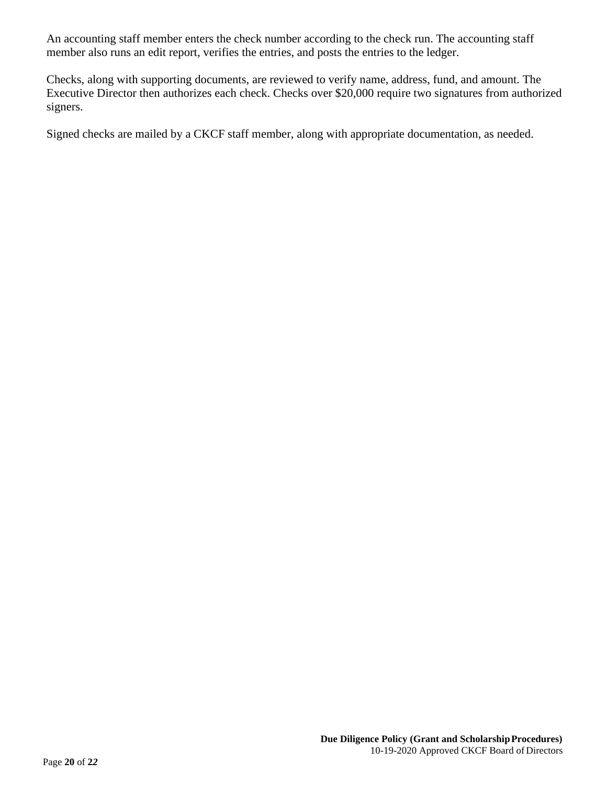An accounting staff member enters the check number according to the check run. The accounting staff member also runs an edit report, verifies the entries, and posts the entries to the ledger.

Checks, along with supporting documents, are reviewed to verify name, address, fund, and amount. The Executive Director then authorizes each check. Checks over \$20,000 require two signatures from authorized signers.

Signed checks are mailed by a CKCF staff member, along with appropriate documentation, as needed.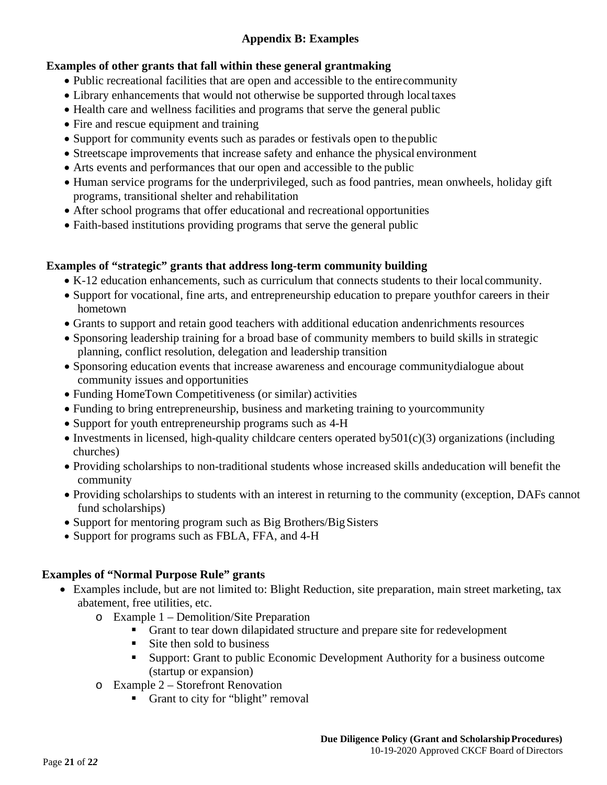## **Appendix B: Examples**

## **Examples of other grants that fall within these general grantmaking**

- Public recreational facilities that are open and accessible to the entirecommunity
- Library enhancements that would not otherwise be supported through localtaxes
- Health care and wellness facilities and programs that serve the general public
- Fire and rescue equipment and training
- Support for community events such as parades or festivals open to thepublic
- Streetscape improvements that increase safety and enhance the physical environment
- Arts events and performances that our open and accessible to the public
- Human service programs for the underprivileged, such as food pantries, mean onwheels, holiday gift programs, transitional shelter and rehabilitation
- After school programs that offer educational and recreational opportunities
- Faith-based institutions providing programs that serve the general public

## **Examples of "strategic" grants that address long-term community building**

- K-12 education enhancements, such as curriculum that connects students to their local community.
- Support for vocational, fine arts, and entrepreneurship education to prepare youthfor careers in their hometown
- Grants to support and retain good teachers with additional education andenrichments resources
- Sponsoring leadership training for a broad base of community members to build skills in strategic planning, conflict resolution, delegation and leadership transition
- Sponsoring education events that increase awareness and encourage communitydialogue about community issues and opportunities
- Funding HomeTown Competitiveness (or similar) activities
- Funding to bring entrepreneurship, business and marketing training to yourcommunity
- Support for youth entrepreneurship programs such as 4-H
- Investments in licensed, high-quality childcare centers operated by  $501(c)(3)$  organizations (including churches)
- Providing scholarships to non-traditional students whose increased skills andeducation will benefit the community
- Providing scholarships to students with an interest in returning to the community (exception, DAFs cannot fund scholarships)
- Support for mentoring program such as Big Brothers/Big Sisters
- Support for programs such as FBLA, FFA, and 4-H

## **Examples of "Normal Purpose Rule" grants**

- Examples include, but are not limited to: Blight Reduction, site preparation, main street marketing, tax abatement, free utilities, etc.
	- o Example 1 Demolition/Site Preparation
		- Grant to tear down dilapidated structure and prepare site for redevelopment
		- Site then sold to business
		- **Support: Grant to public Economic Development Authority for a business outcome** (startup or expansion)
	- o Example 2 Storefront Renovation
		- Grant to city for "blight" removal